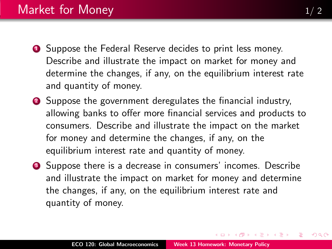- <span id="page-0-0"></span>**1** Suppose the Federal Reserve decides to print less money. Describe and illustrate the impact on market for money and determine the changes, if any, on the equilibrium interest rate and quantity of money.
- <sup>2</sup> Suppose the government deregulates the financial industry, allowing banks to offer more financial services and products to consumers. Describe and illustrate the impact on the market for money and determine the changes, if any, on the equilibrium interest rate and quantity of money.
- **3** Suppose there is a decrease in consumers' incomes. Describe and illustrate the impact on market for money and determine the changes, if any, on the equilibrium interest rate and quantity of money.

 $\rightarrow$   $\equiv$   $\rightarrow$